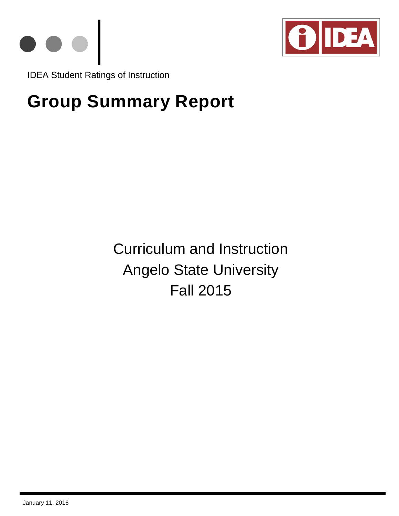



IDEA Student Ratings of Instruction

# **Group Summary Report**

Curriculum and Instruction Angelo State University Fall 2015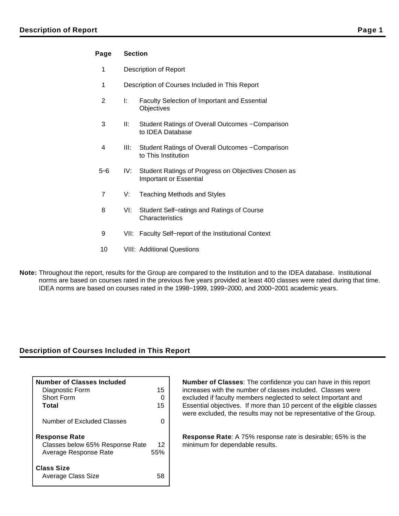## **Page Section**

- 1 Description of Report
- 1 Description of Courses Included in This Report
- 2 I: Faculty Selection of Important and Essential **Objectives**
- 3 II: Student Ratings of Overall Outcomes − Comparison to IDEA Database
- 4 III: Student Ratings of Overall Outcomes − Comparison to This Institution
- 5−6 IV: Student Ratings of Progress on Objectives Chosen as Important or Essential
- 7 V: Teaching Methods and Styles
- 8 VI: Student Self−ratings and Ratings of Course **Characteristics**
- 9 VII: Faculty Self–report of the Institutional Context
- 10 VIII: Additional Questions
- **Note:** Throughout the report, results for the Group are compared to the Institution and to the IDEA database. Institutional norms are based on courses rated in the previous five years provided at least 400 classes were rated during that time. IDEA norms are based on courses rated in the 1998−1999, 1999−2000, and 2000−2001 academic years.

## **Description of Courses Included in This Report**

| Number of Classes Included                                                       |           |
|----------------------------------------------------------------------------------|-----------|
| Diagnostic Form<br>Short Form<br>Total                                           | 15<br>15  |
| Number of Excluded Classes                                                       |           |
| <b>Response Rate</b><br>Classes below 65% Response Rate<br>Average Response Rate | 12<br>55% |
| <b>Class Size</b><br><b>Average Class Size</b>                                   | 5Σ        |

**Number of Classes**: The confidence you can have in this report increases with the number of classes included. Classes were excluded if faculty members neglected to select Important and Essential objectives. If more than 10 percent of the eligible classes were excluded, the results may not be representative of the Group.

**Response Rate**: A 75% response rate is desirable; 65% is the minimum for dependable results.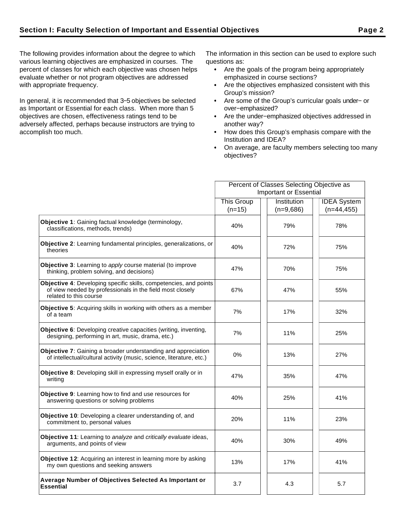The following provides information about the degree to which various learning objectives are emphasized in courses. The percent of classes for which each objective was chosen helps evaluate whether or not program objectives are addressed with appropriate frequency.

In general, it is recommended that 3−5 objectives be selected as Important or Essential for each class. When more than 5 objectives are chosen, effectiveness ratings tend to be adversely affected, perhaps because instructors are trying to accomplish too much.

The information in this section can be used to explore such questions as:

- Are the goals of the program being appropriately emphasized in course sections?
- Are the objectives emphasized consistent with this Group's mission?
- Are some of the Group's curricular goals under− or over−emphasized?
- Are the under−emphasized objectives addressed in  $\bullet$ another way?
- How does this Group's emphasis compare with the Institution and IDEA?
- On average, are faculty members selecting too many objectives?

|                                                                                                                                                          | Percent of Classes Selecting Objective as |             |                    |  |  |
|----------------------------------------------------------------------------------------------------------------------------------------------------------|-------------------------------------------|-------------|--------------------|--|--|
|                                                                                                                                                          | Important or Essential                    |             |                    |  |  |
|                                                                                                                                                          | <b>This Group</b>                         | Institution | <b>IDEA</b> System |  |  |
|                                                                                                                                                          | $(n=15)$                                  | $(n=9,686)$ | $(n=44, 455)$      |  |  |
| Objective 1: Gaining factual knowledge (terminology,<br>classifications, methods, trends)                                                                | 40%                                       | 79%         | 78%                |  |  |
| Objective 2: Learning fundamental principles, generalizations, or<br>theories                                                                            | 40%                                       | 72%         | 75%                |  |  |
| <b>Objective 3:</b> Learning to apply course material (to improve<br>thinking, problem solving, and decisions)                                           | 47%                                       | 70%         | 75%                |  |  |
| Objective 4: Developing specific skills, competencies, and points<br>of view needed by professionals in the field most closely<br>related to this course | 67%                                       | 47%         | 55%                |  |  |
| Objective 5: Acquiring skills in working with others as a member<br>of a team                                                                            | 7%                                        | 17%         | 32%                |  |  |
| Objective 6: Developing creative capacities (writing, inventing,<br>designing, performing in art, music, drama, etc.)                                    | 7%                                        | 11%         | 25%                |  |  |
| Objective 7: Gaining a broader understanding and appreciation<br>of intellectual/cultural activity (music, science, literature, etc.)                    | 0%                                        | 13%         | 27%                |  |  |
| Objective 8: Developing skill in expressing myself orally or in<br>writing                                                                               | 47%                                       | 35%         | 47%                |  |  |
| Objective 9: Learning how to find and use resources for<br>answering questions or solving problems                                                       | 40%                                       | 25%         | 41%                |  |  |
| Objective 10: Developing a clearer understanding of, and<br>commitment to, personal values                                                               | 20%                                       | 11%         | 23%                |  |  |
| Objective 11: Learning to analyze and critically evaluate ideas,<br>arguments, and points of view                                                        | 40%                                       | 30%         | 49%                |  |  |
| Objective 12: Acquiring an interest in learning more by asking<br>my own questions and seeking answers                                                   | 13%                                       | 17%         | 41%                |  |  |
| Average Number of Objectives Selected As Important or<br><b>Essential</b>                                                                                | 3.7                                       | 4.3         | 5.7                |  |  |
|                                                                                                                                                          |                                           |             |                    |  |  |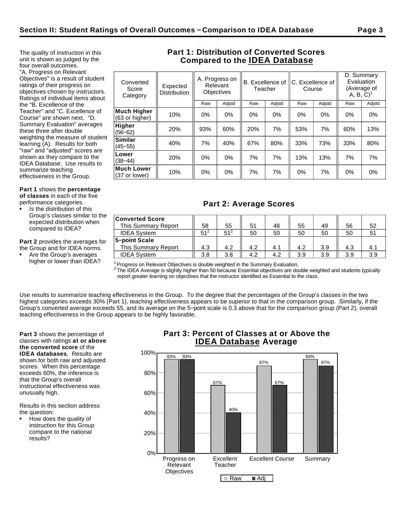The quality of instruction in this unit is shown as judged by the four overall outcomes. "A. Progress on Relevant Objectives" is a result of student ratings of their progress on objectives chosen by instructors. Ratings of individual items about the "B. Excellence of the Teacher" and "C. Excellence of Course" are shown next. "D. Summary Evaluation" averages these three after double weighting the measure of student learning (A). Results for both "raw" and "adjusted" scores are shown as they compare to the IDEA Database. Use results to

**Part 1** shows the **percentage of classes** in each of the five

performance categories.

summarize teaching effectiveness in the Group.

Is the distribution of this Group's classes similar to the expected distribution when compared to IDEA?

**Part 2** provides the averages for the Group and for IDEA norms.

Are the Group's averages higher or lower than IDEA?

## **Part 1: Distribution of Converted Scores Compared to the IDEA Database**

| Converted<br>Score<br>Category | Expected<br><b>Distribution</b> | A. Progress on<br>Relevant<br><b>Objectives</b> |        | B. Excellence of<br>Teacher |        | C. Excellence of<br>Course |        | D. Summary<br>Evaluation<br>(Average of<br>$A, B, C$ <sup>1</sup> |        |
|--------------------------------|---------------------------------|-------------------------------------------------|--------|-----------------------------|--------|----------------------------|--------|-------------------------------------------------------------------|--------|
|                                |                                 | Raw                                             | Adjstd | Raw                         | Adjstd | Raw                        | Adjstd | Raw                                                               | Adjstd |
| Much Higher<br>(63 or higher)  | 10%                             | 0%                                              | $0\%$  | 0%                          | $0\%$  | 0%                         | $0\%$  | 0%                                                                | 0%     |
| Higher<br>$(56 - 62)$          | 20%                             | 93%                                             | 60%    | 20%                         | 7%     | 53%                        | 7%     | 60%                                                               | 13%    |
| Similar<br>$(45 - 55)$         | 40%                             | 7%                                              | 40%    | 67%                         | 80%    | 33%                        | 73%    | 33%                                                               | 80%    |
| Lower<br>$(38 - 44)$           | 20%                             | 0%                                              | 0%     | 7%                          | 7%     | 13%                        | 13%    | 7%                                                                | 7%     |
| Much Lower<br>(37 or lower)    | 10%                             | 0%                                              | $0\%$  | 7%                          | 7%     | 0%                         | 7%     | 0%                                                                | $0\%$  |
|                                |                                 |                                                 |        |                             |        |                            |        |                                                                   |        |

# **Part 2: Average Scores**

| <b>Converted Score</b><br>This Summary Report | 58              | 55       | 51  | 48  | 55  | 49  | 56  | 52  |
|-----------------------------------------------|-----------------|----------|-----|-----|-----|-----|-----|-----|
| <b>IDEA System</b>                            | 51 <sup>2</sup> | $51^{2}$ | 50  | 50  | 50  | 50  | 50  |     |
| 5-point Scale                                 |                 |          |     |     |     |     |     |     |
| This Summary Report                           | 4.3             | 4.2      | 4.2 | 4.1 | 4.2 | 3.9 | 4.3 | 4.1 |
| <b>IDEA System</b>                            | 3.8             | 3.8      | 4.2 | 4.2 | 3.9 | 3.9 | 3.9 | 3.9 |

 $1$ Progress on Relevant Objectives is double weighted in the Summary Evaluation.

 $^2$  The IDEA Average is slightly higher than 50 because Essential objectives are double weighted and students typically report greater learning on objectives that the instructor identified as Essential to the class.

Use results to summarize teaching effectiveness in the Group. To the degree that the percentages of the Group's classes in the two highest categories exceeds 30% (Part 1), teaching effectiveness appears to be superior to that in the comparison group. Similarly, if the Group's converted average exceeds 55, and its average on the 5−point scale is 0.3 above that for the comparison group (Part 2), overall teaching effectiveness in the Group appears to be highly favorable.

**Part 3** shows the percentage of classes with ratings **at or above the converted score** of the **IDEA databases**. Results are shown for both raw and adjusted scores. When this percentage exceeds 60%, the inference is that the Group's overall instructional effectiveness was unusually high.

Results in this section address the question:

How does the quality of instruction for this Group compare to the national results?

# **Part 3: Percent of Classes at or Above the IDEA Database Average**

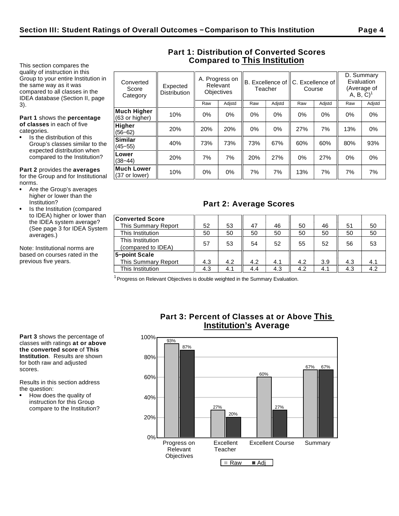**Much Lower**

This section compares the quality of instruction in this Group to your entire Institution in the same way as it was compared to all classes in the IDEA database (Section II, page 3).

**Part 1** shows the **percentage of classes** in each of five categories.

Is the distribution of this Group's classes similar to the expected distribution when compared to the Institution?

**Part 2** provides the **averages** for the Group and for Institutional norms.

- Are the Group's averages higher or lower than the Institution?
- Is the Institution (compared to IDEA) higher or lower than the IDEA system average? (See page 3 for IDEA System averages.)

Note: Institutional norms are based on courses rated in the previous five years.

| Converted<br>Score<br>Category       | Expected<br><b>Distribution</b> | A. Progress on<br>Relevant<br><b>Objectives</b> |        | B. Excellence of<br>Teacher |        | C. Excellence of<br>Course |        | D. Summary<br>Evaluation<br>(Average of<br>(A, B, C) |        |
|--------------------------------------|---------------------------------|-------------------------------------------------|--------|-----------------------------|--------|----------------------------|--------|------------------------------------------------------|--------|
|                                      |                                 | Raw                                             | Adjstd | Raw                         | Adjstd | Raw                        | Adjstd | Raw                                                  | Adjstd |
| <b>Much Higher</b><br>(63 or higher) | 10%                             | $0\%$                                           | 0%     | $0\%$                       | $0\%$  | $0\%$                      | 0%     | 0%                                                   | $0\%$  |
| <b>Higher</b><br>$(56 - 62)$         | 20%                             | 20%                                             | 20%    | $0\%$                       | $0\%$  | 27%                        | 7%     | 13%                                                  | 0%     |
| <b>Similar</b><br>$(45 - 55)$        | 40%                             | 73%                                             | 73%    | 73%                         | 67%    | 60%                        | 60%    | 80%                                                  | 93%    |
| Lower<br>$(38 - 44)$                 | 20%                             | 7%                                              | 7%     | 20%                         | 27%    | 0%                         | 27%    | 0%                                                   | $0\%$  |

# **Part 1: Distribution of Converted Scores Compared to This Institution**

# **Part 2: Average Scores**

|| 10% || 0% || 0% || 7% || 7% || 13% || 7% || 7% || 7%<br>(37 or lower) || 10% || 0% || 0% || 7% || 7% || 13% || 7% || 7% || 7%

| <b>Converted Score</b>     |     |     |     |     |     |     |     |     |
|----------------------------|-----|-----|-----|-----|-----|-----|-----|-----|
| This Summary Report        | 52  | 53  | 47  | 46  | 50  | 46  | 51  | 50  |
| This Institution           | 50  | 50  | 50  | 50  | 50  | 50  | 50  | 50  |
| This Institution           | 57  |     | 54  | 52  | 55  | 52  | 56  |     |
| (compared to IDEA)         |     | 53  |     |     |     |     |     | 53  |
| 5-point Scale              |     |     |     |     |     |     |     |     |
| <b>This Summary Report</b> | 4.3 | 4.2 | 4.2 | 4.1 | 4.2 | 3.9 | 4.3 | 4.1 |
| This Institution           | 4.3 | 4.1 | 4.4 | 4.3 | 4.2 | 4.1 | 4.3 | 4.2 |

 $1$  Progress on Relevant Objectives is double weighted in the Summary Evaluation.

**Part 3** shows the percentage of classes with ratings **at or above the converted score** of **This Institution**. Results are shown for both raw and adjusted scores.

Results in this section address the question:

How does the quality of instruction for this Group compare to the Institution?

# **Part 3: Percent of Classes at or Above This Institution's Average**

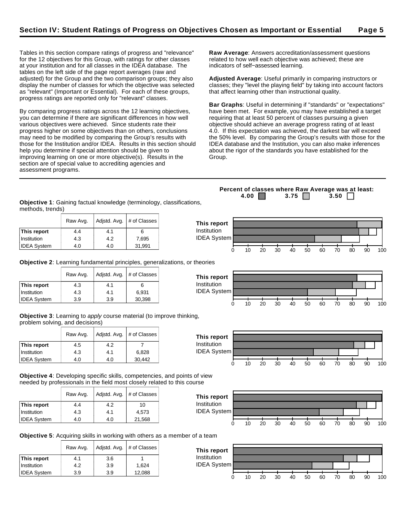Tables in this section compare ratings of progress and "relevance" for the 12 objectives for this Group, with ratings for other classes at your institution and for all classes in the IDEA database. The tables on the left side of the page report averages (raw and adjusted) for the Group and the two comparison groups; they also display the number of classes for which the objective was selected as "relevant" (Important or Essential). For each of these groups, progress ratings are reported only for "relevant" classes.

By comparing progress ratings across the 12 learning objectives, you can determine if there are significant differences in how well various objectives were achieved. Since students rate their progress higher on some objectives than on others, conclusions may need to be modified by comparing the Group's results with those for the Institution and/or IDEA. Results in this section should help you determine if special attention should be given to improving learning on one or more objective(s). Results in the section are of special value to accrediting agencies and assessment programs.

**Raw Average**: Answers accreditation/assessment questions related to how well each objective was achieved; these are indicators of self−assessed learning.

**Adjusted Average**: Useful primarily in comparing instructors or classes; they "level the playing field" by taking into account factors that affect learning other than instructional quality.

**Bar Graphs**: Useful in determining if "standards" or "expectations" have been met. For example, you may have established a target requiring that at least 50 percent of classes pursuing a given objective should achieve an average progress rating of at least 4.0. If this expectation was achieved, the darkest bar will exceed the 50% level. By comparing the Group's results with those for the IDEA database and the Institution, you can also make inferences about the rigor of the standards you have established for the Group.

**Objective 1**: Gaining factual knowledge (terminology, classifications, methods, trends)

|                    | Raw Avg. | Adjstd. Avg. | # of Classes |
|--------------------|----------|--------------|--------------|
| This report        | 4.4      | 4.1          |              |
| Institution        | 4.3      | 4.2          | 7,695        |
| <b>IDEA System</b> | 4.0      | 4.0          | 31,991       |

**Objective 2**: Learning fundamental principles, generalizations, or theories

|                    | Raw Avg. | Adjstd. Avg. | # of Classes |
|--------------------|----------|--------------|--------------|
| This report        | 4.3      | 4.1          |              |
| Institution        | 4.3      | 4.1          | 6.931        |
| <b>IDEA System</b> | 3.9      | 3.9          | 30,398       |

**Objective 3**: Learning to apply course material (to improve thinking, problem solving, and decisions)

|                    | Raw Avg. | Adjstd. Avg. | # of Classes |
|--------------------|----------|--------------|--------------|
| This report        | 4.5      | 4.2          |              |
| Institution        | 4.3      | 4.1          | 6.828        |
| <b>IDEA System</b> | 4.0      | 4.0          | 30.442       |

**Objective 4**: Developing specific skills, competencies, and points of view needed by professionals in the field most closely related to this course

|                    | Raw Avg. | Adjstd. Avg. | # of Classes |  |
|--------------------|----------|--------------|--------------|--|
| This report        | 4.4      | 4.2          | 10           |  |
| Institution        | 4.3      | 4.1          | 4.573        |  |
| <b>IDEA System</b> | 4.0      | 4.0          | 21,568       |  |



**Objective 5**: Acquiring skills in working with others as a member of a team

|                    | Raw Avg. | Adjstd. Avg. | # of Classes |  |
|--------------------|----------|--------------|--------------|--|
| This report        | 4.1      | 3.6          |              |  |
| Institution        | 4.2      | 3.9          | 1.624        |  |
| <b>IDEA System</b> | 3.9      | 3.9          | 12,088       |  |



**Percent of classes where Raw Average was at least: 4.00 3.75 3.50** 







0 10 20 30 40 50 60 70 80 90 100

0 10 20 30 40 50 60 70 80 90 100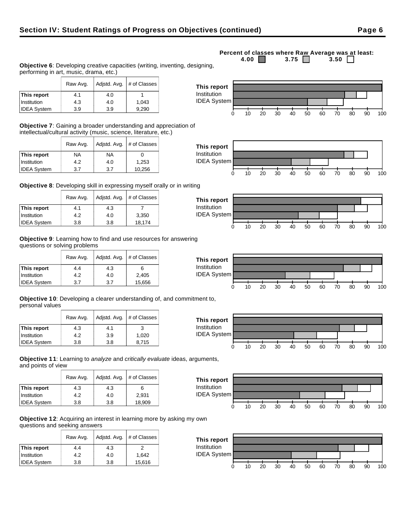## Raw Avg. | Adjstd. Avg. | # of Classes **This report**  $\begin{array}{|c|c|c|c|} \hline 4.1 & 4.0 & 1 \ \hline \end{array}$

| <b>IDEA System</b>                                                      | 3.9 | 9.290 |  |
|-------------------------------------------------------------------------|-----|-------|--|
|                                                                         |     |       |  |
| <b>Objective 7:</b> Gaining a broader understanding and appreciation of |     |       |  |

intellectual/cultural activity (music, science, literature, etc.)

|                    | Raw Avg. | Adjstd. Avg. | # of Classes |
|--------------------|----------|--------------|--------------|
| This report        | NA       | NA           |              |
| Institution        | 4.2      | 4.0          | 1,253        |
| <b>IDEA System</b> | 3.7      | 3.7          | 10,256       |

**Institution** | 4.3 | 4.0 | 1,043

performing in art, music, drama, etc.)

**Objective 8**: Developing skill in expressing myself orally or in writing

|                    | Raw Avg. | Adjstd. Avg. | # of Classes |
|--------------------|----------|--------------|--------------|
| This report        | 4.1      | 4.3          |              |
| Institution        | 4.2      | 4.0          | 3,350        |
| <b>IDEA System</b> | 3.8      | 3.8          | 18,174       |

**Objective 9**: Learning how to find and use resources for answering questions or solving problems

|                    | Raw Avg. |     | Adjstd. Avg.   # of Classes |
|--------------------|----------|-----|-----------------------------|
| This report        | 4.4      | 4.3 | 6                           |
| Institution        | 4.2      | 4.0 | 2,405                       |
| <b>IDEA System</b> | 3.7      | 3.7 | 15,656                      |

**Objective 10**: Developing a clearer understanding of, and commitment to, personal values

|                    | Raw Avg. | Adjstd. Avg.<br># of Classes |       |
|--------------------|----------|------------------------------|-------|
| This report        | 4.3      | 4.1                          | 3     |
| Institution        | 4.2      | 3.9                          | 1.020 |
| <b>IDEA System</b> | 3.8      | 3.8                          | 8,715 |

**Objective 11**: Learning to analyze and critically evaluate ideas, arguments, and points of view

|                    | Raw Avg. | Adjstd. Avg. | # of Classes |
|--------------------|----------|--------------|--------------|
| This report        | 4.3      | 4.3          | 6            |
| Institution        | 4.2      | 4.0          | 2.931        |
| <b>IDEA System</b> | 3.8      | 3.8          | 18,909       |

**Objective 12**: Acquiring an interest in learning more by asking my own questions and seeking answers

|                    | Raw Avg. | Adjstd. Avg. | # of Classes |
|--------------------|----------|--------------|--------------|
| This report        | 4.4      | 4.3          |              |
| <b>Institution</b> | 4.2      | 4.0          | 1.642        |
| <b>IDEA System</b> | 3.8      | 3.8          | 15,616       |

# **Percent of classes where Raw Average was at least:**<br>4.00 3.75 3.50 3.50 3.75  $\Box$ **Objective 6**: Developing creative capacities (writing, inventing, designing,













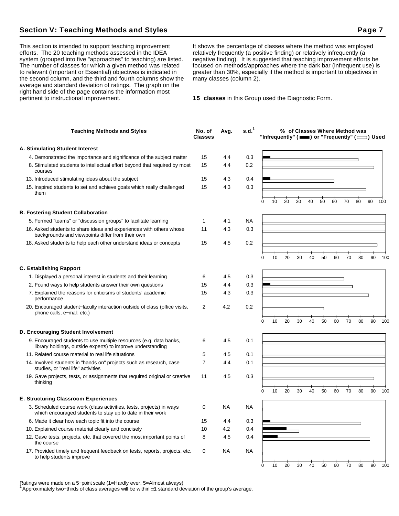## **Section V: Teaching Methods and Styles Page 7**

This section is intended to support teaching improvement efforts. The 20 teaching methods assessed in the IDEA system (grouped into five "approaches" to teaching) are listed. The number of classes for which a given method was related to relevant (Important or Essential) objectives is indicated in the second column, and the third and fourth columns show the average and standard deviation of ratings. The graph on the right hand side of the page contains the information most pertinent to instructional improvement.

It shows the percentage of classes where the method was employed relatively frequently (a positive finding) or relatively infrequently (a negative finding). It is suggested that teaching improvement efforts be focused on methods/approaches where the dark bar (infrequent use) is greater than 30%, especially if the method is important to objectives in many classes (column 2).

**15 classes** in this Group used the Diagnostic Form.

| <b>Teaching Methods and Styles</b>                                                                                                 | No. of<br><b>Classes</b> | Avg.      | s.d. <sup>1</sup> |   |    |    |    |    | % of Classes Where Method was |    |    |    | "Infrequently" ( $\equiv$ ) or "Frequently" ( $\equiv$ ) Used |     |
|------------------------------------------------------------------------------------------------------------------------------------|--------------------------|-----------|-------------------|---|----|----|----|----|-------------------------------|----|----|----|---------------------------------------------------------------|-----|
| A. Stimulating Student Interest                                                                                                    |                          |           |                   |   |    |    |    |    |                               |    |    |    |                                                               |     |
| 4. Demonstrated the importance and significance of the subject matter                                                              | 15                       | 4.4       | 0.3               |   |    |    |    |    |                               |    |    |    |                                                               |     |
| 8. Stimulated students to intellectual effort beyond that required by most<br>courses                                              | 15                       | 4.4       | 0.2               |   |    |    |    |    |                               |    |    |    |                                                               |     |
| 13. Introduced stimulating ideas about the subject                                                                                 | 15                       | 4.3       | 0.4               |   |    |    |    |    |                               |    |    |    |                                                               |     |
| 15. Inspired students to set and achieve goals which really challenged<br>them                                                     | 15                       | 4.3       | 0.3               |   |    |    |    |    |                               |    |    |    |                                                               |     |
|                                                                                                                                    |                          |           |                   | 0 | 10 | 20 | 30 | 40 | 50                            | 60 | 70 | 80 | 90                                                            | 100 |
| <b>B. Fostering Student Collaboration</b>                                                                                          |                          |           |                   |   |    |    |    |    |                               |    |    |    |                                                               |     |
| 5. Formed "teams" or "discussion groups" to facilitate learning                                                                    | 1                        | 4.1       | <b>NA</b>         |   |    |    |    |    |                               |    |    |    |                                                               |     |
| 16. Asked students to share ideas and experiences with others whose<br>backgrounds and viewpoints differ from their own            | 11                       | 4.3       | 0.3               |   |    |    |    |    |                               |    |    |    |                                                               |     |
| 18. Asked students to help each other understand ideas or concepts                                                                 | 15                       | 4.5       | 0.2               |   |    |    |    |    |                               |    |    |    |                                                               |     |
|                                                                                                                                    |                          |           |                   | 0 | 10 | 20 | 30 | 40 | 50                            | 60 | 70 | 80 | 90                                                            | 100 |
| <b>C. Establishing Rapport</b>                                                                                                     |                          |           |                   |   |    |    |    |    |                               |    |    |    |                                                               |     |
| 1. Displayed a personal interest in students and their learning                                                                    | 6                        | 4.5       | 0.3               |   |    |    |    |    |                               |    |    |    |                                                               |     |
| 2. Found ways to help students answer their own questions                                                                          | 15                       | 4.4       | 0.3               |   |    |    |    |    |                               |    |    |    |                                                               |     |
| 7. Explained the reasons for criticisms of students' academic<br>performance                                                       | 15                       | 4.3       | 0.3               |   |    |    |    |    |                               |    |    |    |                                                               |     |
| 20. Encouraged student–faculty interaction outside of class (office visits,<br>phone calls, e-mail, etc.)                          | 2                        | 4.2       | 0.2               |   |    |    |    |    |                               |    |    |    |                                                               |     |
|                                                                                                                                    |                          |           |                   | 0 | 10 | 20 | 30 | 40 | 50                            | 60 | 70 | 80 | 90                                                            | 100 |
| D. Encouraging Student Involvement                                                                                                 |                          |           |                   |   |    |    |    |    |                               |    |    |    |                                                               |     |
| 9. Encouraged students to use multiple resources (e.g. data banks,<br>library holdings, outside experts) to improve understanding  | 6                        | 4.5       | 0.1               |   |    |    |    |    |                               |    |    |    |                                                               |     |
| 11. Related course material to real life situations                                                                                | 5                        | 4.5       | 0.1               |   |    |    |    |    |                               |    |    |    |                                                               |     |
| 14. Involved students in "hands on" projects such as research, case<br>studies, or "real life" activities                          | 7                        | 4.4       | 0.1               |   |    |    |    |    |                               |    |    |    |                                                               |     |
| 19. Gave projects, tests, or assignments that required original or creative<br>thinking                                            | 11                       | 4.5       | 0.3               |   |    |    |    |    |                               |    |    |    |                                                               |     |
|                                                                                                                                    |                          |           |                   | 0 | 10 | 20 | 30 | 40 | 50                            | 60 | 70 | 80 | 90                                                            | 100 |
| <b>E. Structuring Classroom Experiences</b>                                                                                        |                          |           |                   |   |    |    |    |    |                               |    |    |    |                                                               |     |
| 3. Scheduled course work (class activities, tests, projects) in ways<br>which encouraged students to stay up to date in their work | 0                        | <b>NA</b> | NA                |   |    |    |    |    |                               |    |    |    |                                                               |     |
| 6. Made it clear how each topic fit into the course                                                                                | 15                       | 4.4       | 0.3               |   |    |    |    |    |                               |    |    |    |                                                               |     |
| 10. Explained course material clearly and concisely                                                                                | 10                       | 4.2       | 0.4               |   |    |    |    |    |                               |    |    |    |                                                               |     |
| 12. Gave tests, projects, etc. that covered the most important points of<br>the course                                             | 8                        | 4.5       | 0.4               |   |    |    |    |    |                               |    |    |    |                                                               |     |
| 17. Provided timely and frequent feedback on tests, reports, projects, etc.<br>to help students improve                            | 0                        | NA        | <b>NA</b>         |   |    |    |    |    |                               |    |    |    |                                                               |     |
|                                                                                                                                    |                          |           |                   | 0 | 10 | 20 | 30 | 40 | 50                            | 60 | 70 | 80 | 90                                                            | 100 |

Ratings were made on a 5−point scale (1=Hardly ever, 5=Almost always)

<sup>1</sup>Approximately two−thirds of class averages will be within 1 standard deviation of the group's average.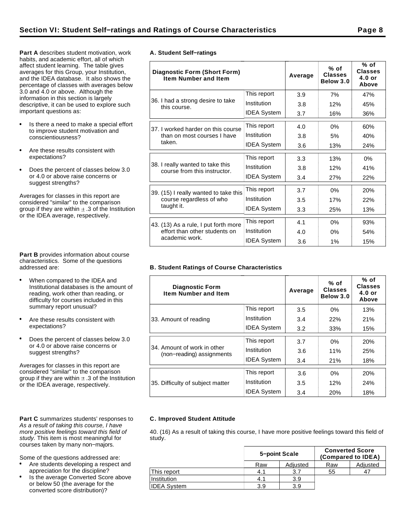**Part A** describes student motivation, work habits, and academic effort, all of which affect student learning. The table gives averages for this Group, your Institution, and the IDEA database. It also shows the percentage of classes with averages below 3.0 and 4.0 or above. Although the information in this section is largely descriptive, it can be used to explore such important questions as:

- Is there a need to make a special effort to improve student motivation and conscientiousness?
- Are these results consistent with expectations?
- Does the percent of classes below 3.0  $\bullet$ or 4.0 or above raise concerns or suggest strengths?

Averages for classes in this report are considered "similar" to the comparison group if they are within  $\pm$  .3 of the Institution or the IDEA average, respectively.

**Part B** provides information about course characteristics. Some of the questions addressed are:

- When compared to the IDEA and Institutional databases is the amount of reading, work other than reading, or difficulty for courses included in this summary report unusual?
- Are these results consistent with expectations?
- Does the percent of classes below 3.0 or 4.0 or above raise concerns or suggest strengths?

Averages for classes in this report are considered "similar" to the comparison group if they are within  $\pm$  .3 of the Institution or the IDEA average, respectively.

#### Part C summarizes students' responses to As a result of taking this course, I have more positive feelings toward this field of study. This item is most meaningful for courses taken by many non−majors.

Some of the questions addressed are:

- Are students developing a respect and appreciation for the discipline?
- Is the average Converted Score above or below 50 (the average for the converted score distribution)?

|  | A. Student Self-ratings |
|--|-------------------------|

| Diagnostic Form (Short Form)<br><b>Item Number and Item</b>      |                    | Average | $%$ of<br><b>Classes</b><br>Below 3.0 | % of<br><b>Classes</b><br>$4.0$ or<br>Above |
|------------------------------------------------------------------|--------------------|---------|---------------------------------------|---------------------------------------------|
|                                                                  | This report        | 3.9     | 7%                                    | 47%                                         |
| 36. I had a strong desire to take<br>this course.                | Institution        | 3.8     | 12%                                   | 45%                                         |
|                                                                  | <b>IDEA System</b> | 3.7     | 16%                                   | 36%                                         |
| 37. I worked harder on this course                               | This report        | 4.0     | 0%                                    | 60%                                         |
| than on most courses I have                                      | Institution        | 3.8     | 5%                                    | 40%                                         |
| taken.                                                           | <b>IDEA System</b> | 3.6     | 13%                                   | 24%                                         |
|                                                                  | This report        | 3.3     | 13%                                   | $0\%$                                       |
| 38. I really wanted to take this<br>course from this instructor. | Institution        | 3.8     | 12%                                   | 41%                                         |
|                                                                  | <b>IDEA System</b> | 3.4     | 27%                                   | 22%                                         |
| 39. (15) I really wanted to take this                            | This report        | 3.7     | 0%                                    | <b>20%</b>                                  |
| course regardless of who                                         | Institution        | 3.5     | 17%                                   | 22%                                         |
| taught it.                                                       | <b>IDEA System</b> | 3.3     | 25%                                   | 13%                                         |
| 43. (13) As a rule, I put forth more                             | This report        | 4.1     | 0%                                    | 93%                                         |
| effort than other students on                                    | Institution        | 4.0     | 0%                                    | 54%                                         |
| academic work.                                                   | <b>IDEA System</b> | 3.6     | 1%                                    | 15%                                         |

## **B. Student Ratings of Course Characteristics**

| <b>Diagnostic Form</b><br><b>Item Number and Item</b>    |                    | Average | $%$ of<br><b>Classes</b><br>Below 3.0 | % of<br><b>Classes</b><br>$4.0$ or<br>Above |
|----------------------------------------------------------|--------------------|---------|---------------------------------------|---------------------------------------------|
|                                                          | This report        | 3.5     | $0\%$                                 | 13%                                         |
| 33. Amount of reading                                    | Institution        | 3.4     | 22%                                   | 21%                                         |
|                                                          | <b>IDEA System</b> | 3.2     | 33%                                   | 15%                                         |
|                                                          | This report        | 3.7     | $0\%$                                 | 20%                                         |
| 34. Amount of work in other<br>(non-reading) assignments | Institution        | 3.6     | 11%                                   | 25%                                         |
|                                                          | <b>IDEA System</b> | 3.4     | 21%                                   | 18%                                         |
|                                                          | This report        | 3.6     | $0\%$                                 | 20%                                         |
| 35. Difficulty of subject matter                         | Institution        | $3.5\,$ | 12%                                   | 24%                                         |
|                                                          | <b>IDEA System</b> | 3.4     | 20%                                   | 18%                                         |

### **C. Improved Student Attitude**

40. (16) As a result of taking this course, I have more positive feelings toward this field of study.

|                    | 5-point Scale |          | <b>Converted Score</b><br>(Compared to IDEA) |          |
|--------------------|---------------|----------|----------------------------------------------|----------|
|                    | Raw           | Adjusted | Raw                                          | Adjusted |
| This report        | 4.1           | 3.7      | 55                                           | 47       |
| Institution        | 4.1           | 3.9      |                                              |          |
| <b>IDEA System</b> | 3.9           | 3.9      |                                              |          |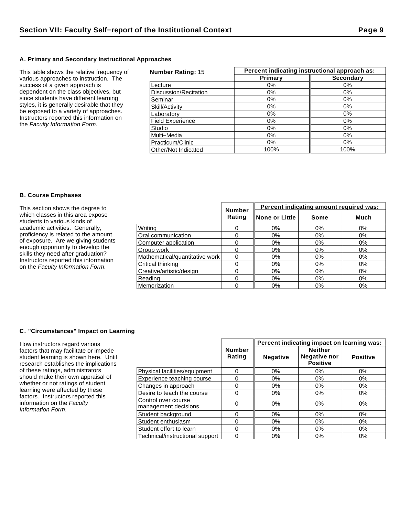## **A. Primary and Secondary Instructional Approaches**

This table shows the relative frequency of various approaches to instruction. The success of a given approach is dependent on the class objectives, but since students have different learning styles, it is generally desirable that they be exposed to a variety of approaches. Instructors reported this information on the Faculty Information Form.

| <b>Number Rating: 15</b> | Percent indicating instructional approach as: |                  |  |  |
|--------------------------|-----------------------------------------------|------------------|--|--|
|                          | Primary                                       | <b>Secondary</b> |  |  |
| Lecture                  | $0\%$                                         | $0\%$            |  |  |
| Discussion/Recitation    | $0\%$                                         | $0\%$            |  |  |
| Seminar                  | 0%                                            | 0%               |  |  |
| Skill/Activity           | $0\%$                                         | 0%               |  |  |
| Laboratory               | 0%                                            | 0%               |  |  |
| <b>Field Experience</b>  | 0%                                            | 0%               |  |  |
| Studio                   | $0\%$                                         | $0\%$            |  |  |
| Multi-Media              | $0\%$                                         | $0\%$            |  |  |
| Practicum/Clinic         | $0\%$                                         | $0\%$            |  |  |
| Other/Not Indicated      | 100%                                          | 100%             |  |  |

## **B. Course Emphases**

| This section shows the degree to                                                                                                                                                                                                                                       | <b>Number</b>                  | Percent indicating amount required was: |                 |       |       |
|------------------------------------------------------------------------------------------------------------------------------------------------------------------------------------------------------------------------------------------------------------------------|--------------------------------|-----------------------------------------|-----------------|-------|-------|
| which classes in this area expose<br>students to various kinds of                                                                                                                                                                                                      |                                | Rating                                  | ∥None or Little | Some  | Much  |
| academic activities. Generally,<br>proficiency is related to the amount<br>of exposure. Are we giving students<br>enough opportunity to develop the<br>skills they need after graduation?<br>Instructors reported this information<br>on the Faculty Information Form. | Writina                        |                                         | 0%              | 0%    | 0%    |
|                                                                                                                                                                                                                                                                        | Oral communication             |                                         | 0%              | 0%    | 0%    |
|                                                                                                                                                                                                                                                                        | Computer application           |                                         | $0\%$           | 0%    | 0%    |
|                                                                                                                                                                                                                                                                        | Group work                     |                                         | 0%              | $0\%$ | $0\%$ |
|                                                                                                                                                                                                                                                                        | Mathematical/quantitative work |                                         | 0%              | $0\%$ | 0%    |
|                                                                                                                                                                                                                                                                        | Critical thinking              |                                         | 0%              | 0%    | $0\%$ |
|                                                                                                                                                                                                                                                                        | Creative/artistic/design       |                                         | 0%              | 0%    | 0%    |
|                                                                                                                                                                                                                                                                        | Reading                        |                                         | 0%              | $0\%$ | 0%    |
|                                                                                                                                                                                                                                                                        | Memorization                   |                                         | 0%              | $0\%$ | 0%    |

## **C. "Circumstances" Impact on Learning**

How instructors regard various factors that may facilitate or impede student learning is shown here. Until research establishes the implications of these ratings, administrators should make their own appraisal of whether or not ratings of student learning were affected by these factors. Instructors reported this information on the Faculty Information Form.

|                                             |                         | Percent indicating impact on learning was: |                                                          |                 |  |
|---------------------------------------------|-------------------------|--------------------------------------------|----------------------------------------------------------|-----------------|--|
|                                             | <b>Number</b><br>Rating | <b>Negative</b>                            | <b>Neither</b><br><b>Negative nor</b><br><b>Positive</b> | <b>Positive</b> |  |
| Physical facilities/equipment               | 0                       | $0\%$                                      | $0\%$                                                    | 0%              |  |
| Experience teaching course                  | 0                       | $0\%$                                      | 0%                                                       | 0%              |  |
| Changes in approach                         | 0                       | $0\%$                                      | 0%                                                       | 0%              |  |
| Desire to teach the course                  | 0                       | $0\%$                                      | 0%                                                       | $0\%$           |  |
| Control over course<br>management decisions | 0                       | $0\%$                                      | 0%                                                       | 0%              |  |
| Student background                          | 0                       | $0\%$                                      | 0%                                                       | $0\%$           |  |
| Student enthusiasm                          | 0                       | $0\%$                                      | 0%                                                       | 0%              |  |
| Student effort to learn                     | 0                       | 0%                                         | 0%                                                       | 0%              |  |
| Technical/instructional support             | 0                       | 0%                                         | $0\%$                                                    | 0%              |  |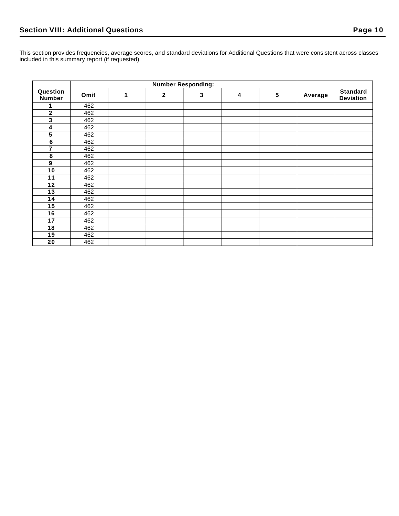This section provides frequencies, average scores, and standard deviations for Additional Questions that were consistent across classes included in this summary report (if requested).

|                           | <b>Number Responding:</b> |   |              |   |   |                 |         |                                     |
|---------------------------|---------------------------|---|--------------|---|---|-----------------|---------|-------------------------------------|
| Question<br><b>Number</b> | Omit                      | 1 | $\mathbf{2}$ | 3 | 4 | $5\phantom{.0}$ | Average | <b>Standard</b><br><b>Deviation</b> |
| 1                         | 462                       |   |              |   |   |                 |         |                                     |
| $\mathbf 2$               | 462                       |   |              |   |   |                 |         |                                     |
| 3                         | 462                       |   |              |   |   |                 |         |                                     |
| 4                         | 462                       |   |              |   |   |                 |         |                                     |
| 5                         | 462                       |   |              |   |   |                 |         |                                     |
| $\bf 6$                   | 462                       |   |              |   |   |                 |         |                                     |
| 7                         | 462                       |   |              |   |   |                 |         |                                     |
| 8                         | 462                       |   |              |   |   |                 |         |                                     |
| $\boldsymbol{9}$          | 462                       |   |              |   |   |                 |         |                                     |
| 10                        | 462                       |   |              |   |   |                 |         |                                     |
| 11                        | 462                       |   |              |   |   |                 |         |                                     |
| $12$                      | 462                       |   |              |   |   |                 |         |                                     |
| 13                        | 462                       |   |              |   |   |                 |         |                                     |
| 14                        | 462                       |   |              |   |   |                 |         |                                     |
| 15                        | 462                       |   |              |   |   |                 |         |                                     |
| 16                        | 462                       |   |              |   |   |                 |         |                                     |
| 17                        | 462                       |   |              |   |   |                 |         |                                     |
| 18                        | 462                       |   |              |   |   |                 |         |                                     |
| 19                        | 462                       |   |              |   |   |                 |         |                                     |
| 20                        | 462                       |   |              |   |   |                 |         |                                     |